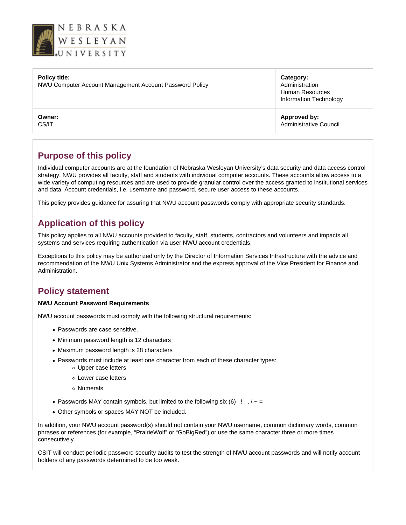

### **Policy title:**

NWU Computer Account Management Account Password Policy

**Owner:** CS/IT

**Category:** Administration Human Resources Information Technology

**Approved by:** Administrative Council

# **Purpose of this policy**

Individual computer accounts are at the foundation of Nebraska Wesleyan University's data security and data access control strategy. NWU provides all faculty, staff and students with individual computer accounts. These accounts allow access to a wide variety of computing resources and are used to provide granular control over the access granted to institutional services and data. Account credentials, i.e. username and password, secure user access to these accounts.

This policy provides guidance for assuring that NWU account passwords comply with appropriate security standards.

# **Application of this policy**

This policy applies to all NWU accounts provided to faculty, staff, students, contractors and volunteers and impacts all systems and services requiring authentication via user NWU account credentials.

Exceptions to this policy may be authorized only by the Director of Information Services Infrastructure with the advice and recommendation of the NWU Unix Systems Administrator and the express approval of the Vice President for Finance and Administration.

## **Policy statement**

### **NWU Account Password Requirements**

NWU account passwords must comply with the following structural requirements:

- Passwords are case sensitive.
- Minimum password length is 12 characters
- Maximum password length is 28 characters
- Passwords must include at least one character from each of these character types: Upper case letters
	- Lower case letters
	- Numerals
- Passwords MAY contain symbols, but limited to the following six  $(6)$  !..,  $/ \sim$  =
- Other symbols or spaces MAY NOT be included.

In addition, your NWU account password(s) should not contain your NWU username, common dictionary words, common phrases or references (for example, "PrairieWolf" or "GoBigRed") or use the same character three or more times consecutively.

CSIT will conduct periodic password security audits to test the strength of NWU account passwords and will notify account holders of any passwords determined to be too weak.